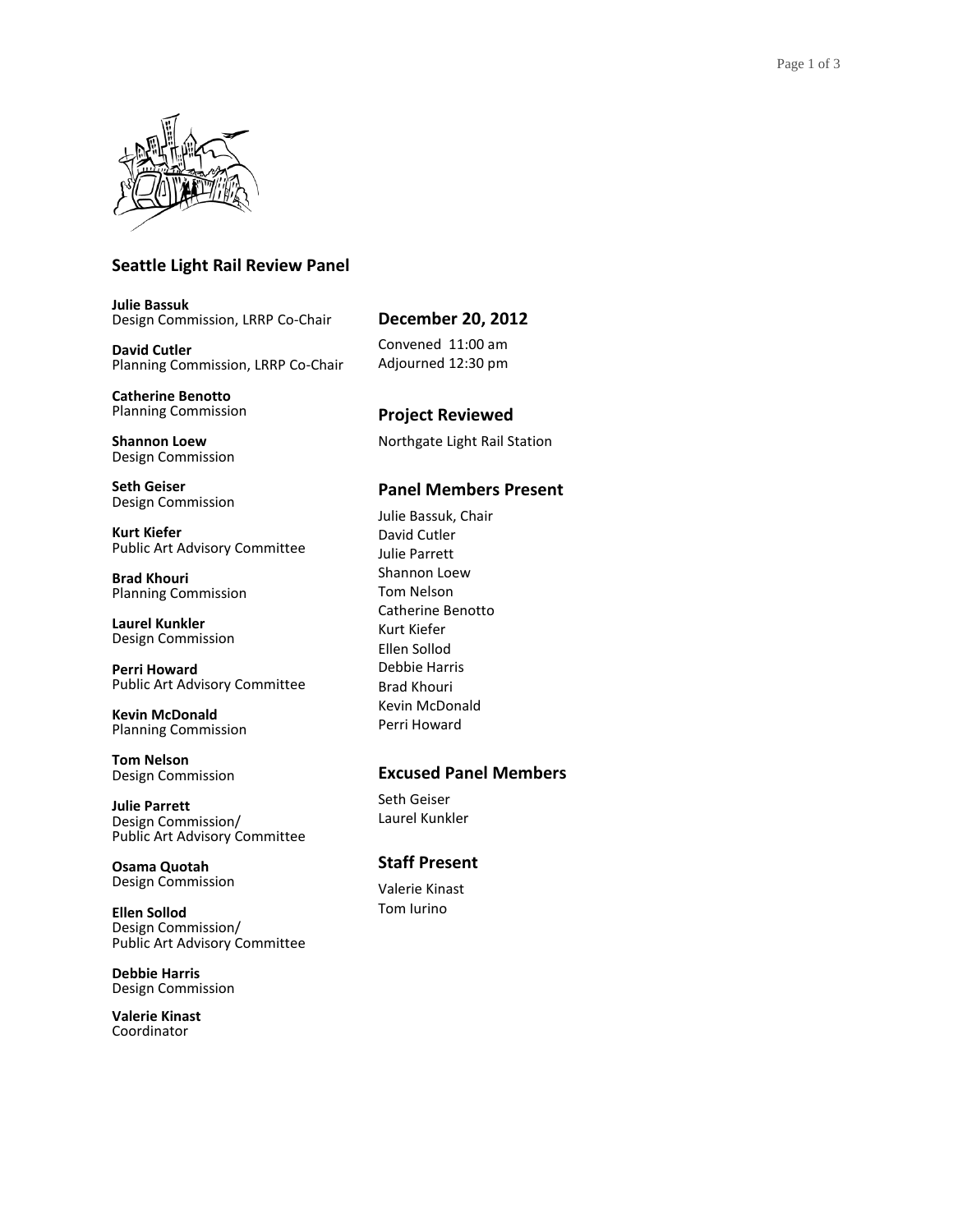

## **Seattle Light Rail Review Panel**

**Julie Bassuk** Design Commission, LRRP Co-Chair

**David Cutler** Planning Commission, LRRP Co-Chair

**Catherine Benotto** Planning Commission

**Shannon Loew** Design Commission

**Seth Geiser** Design Commission

**Kurt Kiefer** Public Art Advisory Committee

**Brad Khouri** Planning Commission

**Laurel Kunkler** Design Commission

**Perri Howard** Public Art Advisory Committee

**Kevin McDonald** Planning Commission

**Tom Nelson** Design Commission

**Julie Parrett** Design Commission/ Public Art Advisory Committee

**Osama Quotah** Design Commission

**Ellen Sollod** Design Commission/ Public Art Advisory Committee

**Debbie Harris** Design Commission

**Valerie Kinast** Coordinator

## **December 20, 2012**

Convened 11:00 am Adjourned 12:30 pm

# **Project Reviewed**

Northgate Light Rail Station

### **Panel Members Present**

Julie Bassuk, Chair David Cutler Julie Parrett Shannon Loew Tom Nelson Catherine Benotto Kurt Kiefer Ellen Sollod Debbie Harris Brad Khouri Kevin McDonald Perri Howard

### **Excused Panel Members**

Seth Geiser Laurel Kunkler

## **Staff Present**

Valerie Kinast Tom Iurino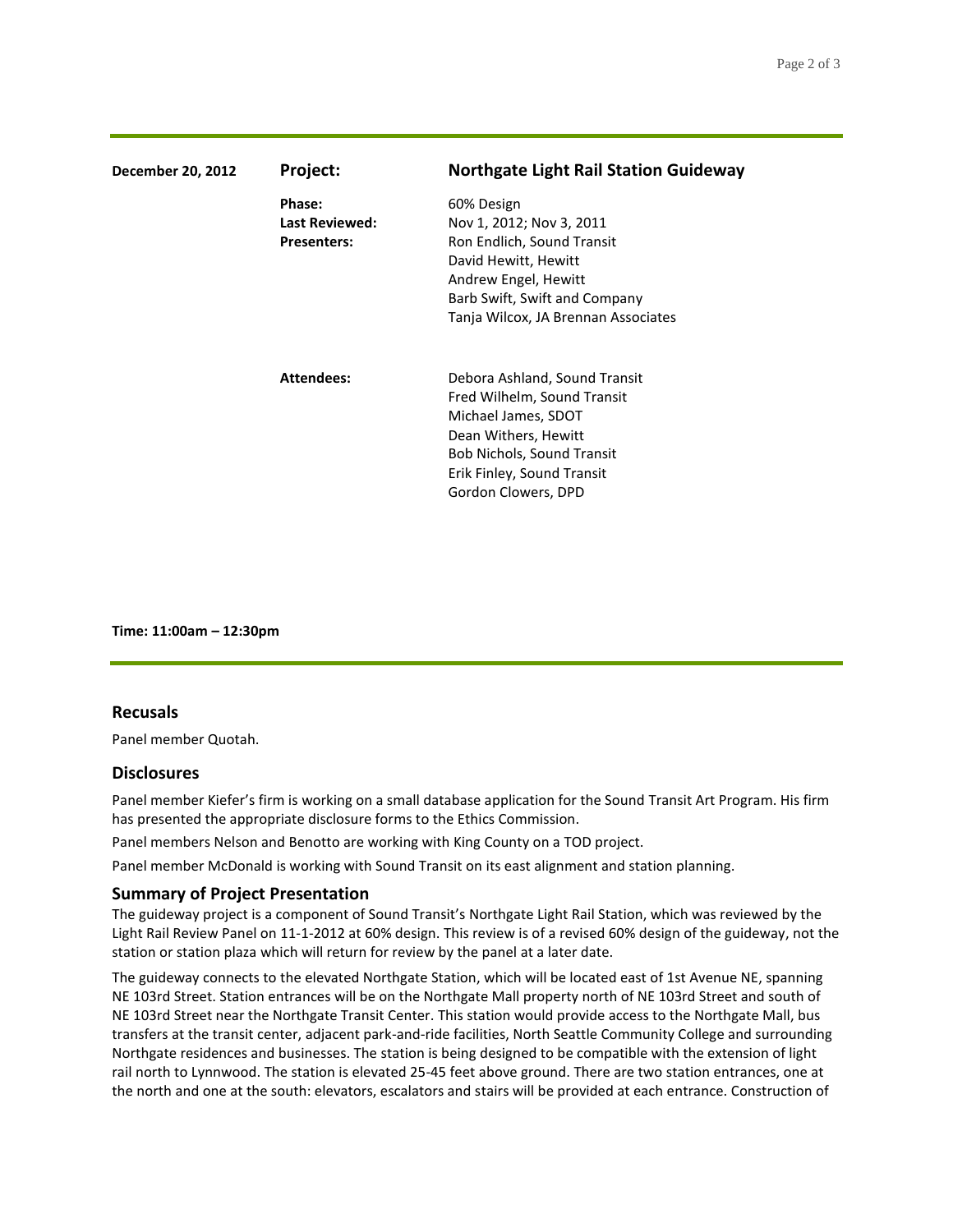| December 20, 2012 | Project:              | <b>Northgate Light Rail Station Guideway</b> |
|-------------------|-----------------------|----------------------------------------------|
|                   | Phase:                | 60% Design                                   |
|                   | <b>Last Reviewed:</b> | Nov 1, 2012; Nov 3, 2011                     |
|                   | <b>Presenters:</b>    | Ron Endlich, Sound Transit                   |
|                   |                       | David Hewitt, Hewitt                         |
|                   |                       | Andrew Engel, Hewitt                         |
|                   |                       | Barb Swift, Swift and Company                |
|                   |                       | Tanja Wilcox, JA Brennan Associates          |
|                   | <b>Attendees:</b>     | Debora Ashland, Sound Transit                |
|                   |                       | Fred Wilhelm, Sound Transit                  |
|                   |                       | Michael James, SDOT                          |
|                   |                       | Dean Withers, Hewitt                         |
|                   |                       | <b>Bob Nichols, Sound Transit</b>            |
|                   |                       | Erik Finley, Sound Transit                   |
|                   |                       | Gordon Clowers, DPD                          |

**Time: 11:00am – 12:30pm**

#### **Recusals**

Panel member Quotah.

#### **Disclosures**

Panel member Kiefer's firm is working on a small database application for the Sound Transit Art Program. His firm has presented the appropriate disclosure forms to the Ethics Commission.

Panel members Nelson and Benotto are working with King County on a TOD project.

Panel member McDonald is working with Sound Transit on its east alignment and station planning.

#### **Summary of Project Presentation**

The guideway project is a component of Sound Transit's Northgate Light Rail Station, which was reviewed by the Light Rail Review Panel on 11-1-2012 at 60% design. This review is of a revised 60% design of the guideway, not the station or station plaza which will return for review by the panel at a later date.

The guideway connects to the elevated Northgate Station, which will be located east of 1st Avenue NE, spanning NE 103rd Street. Station entrances will be on the Northgate Mall property north of NE 103rd Street and south of NE 103rd Street near the Northgate Transit Center. This station would provide access to the Northgate Mall, bus transfers at the transit center, adjacent park-and-ride facilities, North Seattle Community College and surrounding Northgate residences and businesses. The station is being designed to be compatible with the extension of light rail north to Lynnwood. The station is elevated 25-45 feet above ground. There are two station entrances, one at the north and one at the south: elevators, escalators and stairs will be provided at each entrance. Construction of